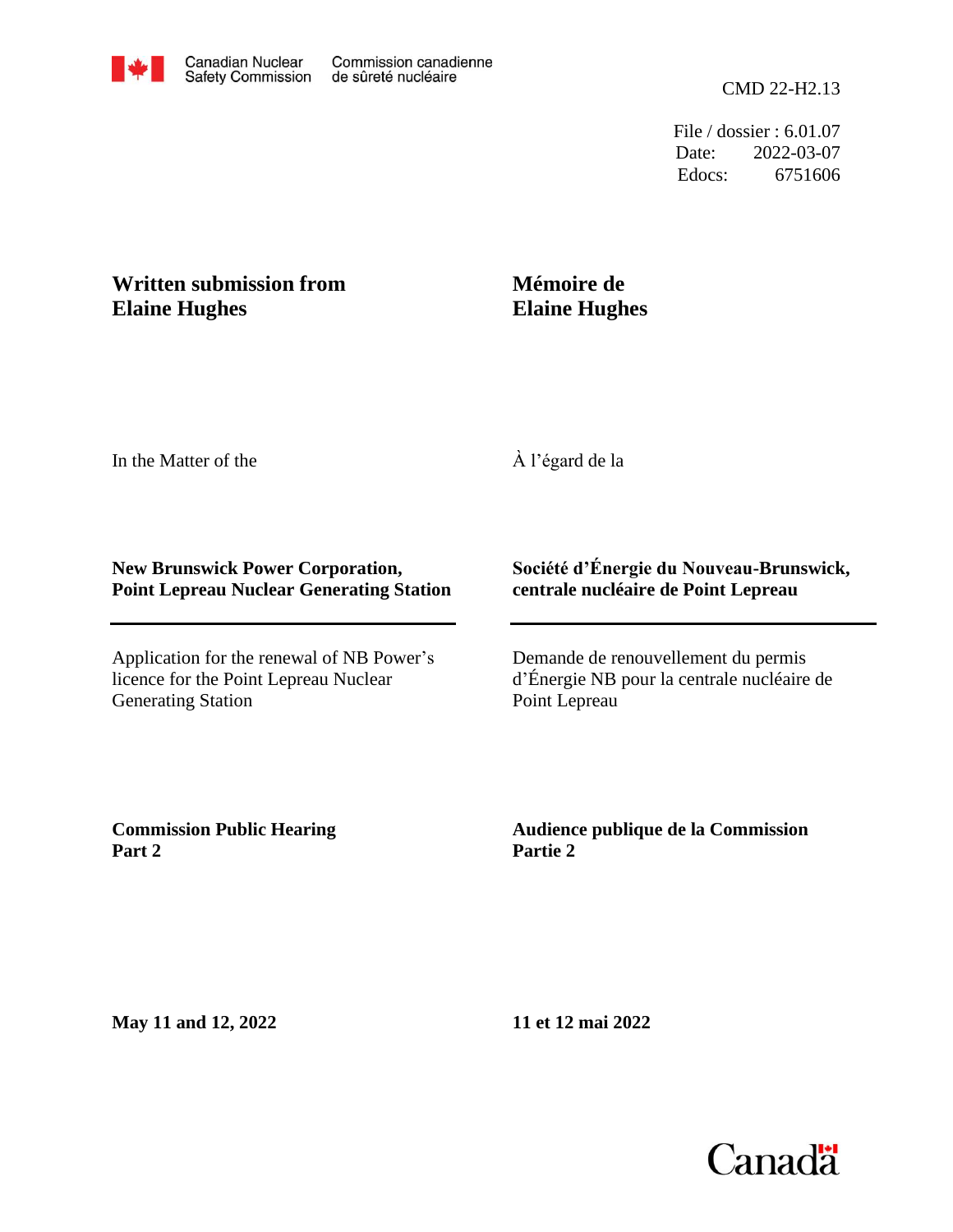Edocs: 6751606 Date: 2022-03-07 File / dossier : 6.01.07

## **Written submission from Elaine Hughes**

## **Mémoire de Elaine Hughes**

In the Matter of the

À l'égard de la

## **New Brunswick Power Corporation, Point Lepreau Nuclear Generating Station**

Application for the renewal of NB Power's licence for the Point Lepreau Nuclear Generating Station

## **Société d'Énergie du Nouveau-Brunswick, centrale nucléaire de Point Lepreau**

Demande de renouvellement du permis d'Énergie NB pour la centrale nucléaire de Point Lepreau

**Commission Public Hearing Part 2**

**Audience publique de la Commission Partie 2**

**May 11 and 12, 2022**

**11 et 12 mai 2022**